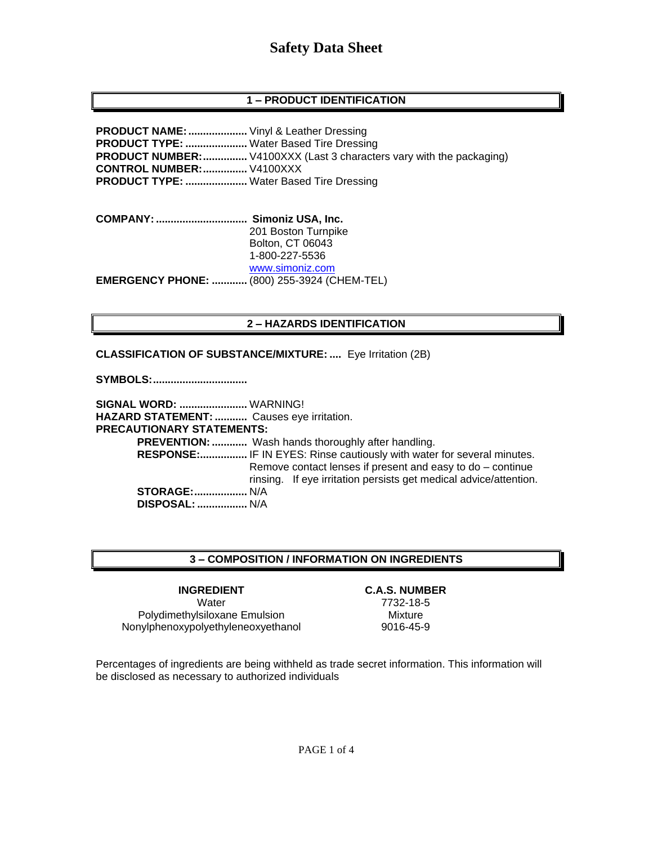# **1 – PRODUCT IDENTIFICATION**

**PRODUCT NAME:....................** Vinyl & Leather Dressing **PRODUCT TYPE: .....................** Water Based Tire Dressing **PRODUCT NUMBER:................** V4100XXX (Last 3 characters vary with the packaging) **CONTROL NUMBER:...............** V4100XXX **PRODUCT TYPE: .....................** Water Based Tire Dressing

**COMPANY: ............................... Simoniz USA, Inc.** 201 Boston Turnpike Bolton, CT 06043 1-800-227-5536 [www.simoniz.com](http://www.simoniz.com/) **EMERGENCY PHONE: ............** (800) 255-3924 (CHEM-TEL)

### **2 – HAZARDS IDENTIFICATION**

**CLASSIFICATION OF SUBSTANCE/MIXTURE: ....** Eye Irritation (2B)

**SYMBOLS:................................**

**SIGNAL WORD: .......................** WARNING! **HAZARD STATEMENT: ...........** Causes eye irritation. **PRECAUTIONARY STATEMENTS: PREVENTION: .............** Wash hands thoroughly after handling.  **RESPONSE:................** IF IN EYES: Rinse cautiously with water for several minutes. Remove contact lenses if present and easy to do – continue rinsing. If eye irritation persists get medical advice/attention. **STORAGE:..................** N/A  **DISPOSAL: .................** N/A

# **3 – COMPOSITION / INFORMATION ON INGREDIENTS**

Water 7732-18-5 Polydimethylsiloxane Emulsion Mixture Nonylphenoxypolyethyleneoxyethanol 9016-45-9

**INGREDIENT C.A.S. NUMBER**

Percentages of ingredients are being withheld as trade secret information. This information will be disclosed as necessary to authorized individuals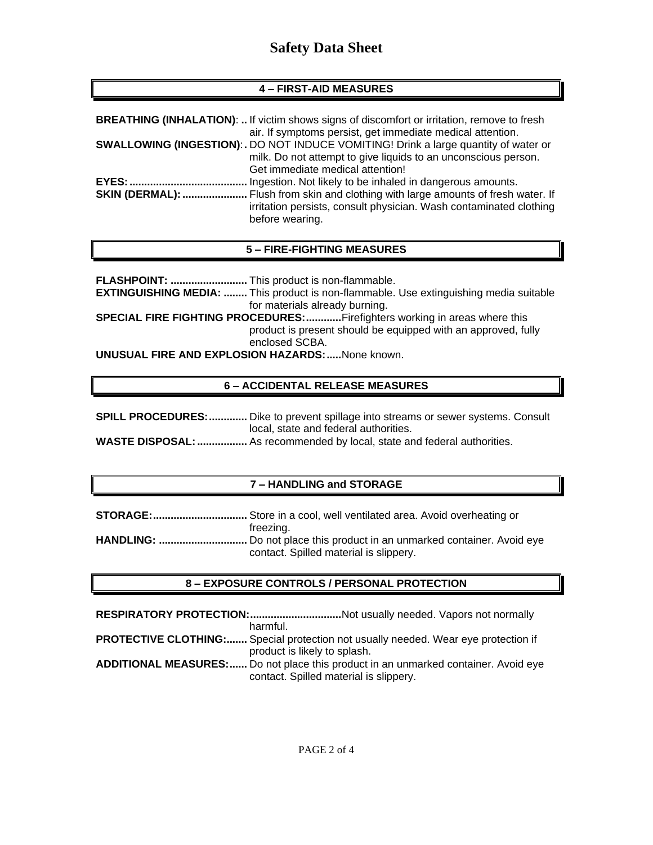# **Safety Data Sheet**

# **4 – FIRST-AID MEASURES**

|                        | <b>BREATHING (INHALATION):  If victim shows signs of discomfort or irritation, remove to fresh</b><br>air. If symptoms persist, get immediate medical attention. |
|------------------------|------------------------------------------------------------------------------------------------------------------------------------------------------------------|
|                        | <b>SWALLOWING (INGESTION):.</b> DO NOT INDUCE VOMITING! Drink a large quantity of water or                                                                       |
|                        | milk. Do not attempt to give liquids to an unconscious person.                                                                                                   |
|                        | Get immediate medical attention!                                                                                                                                 |
|                        | Ingestion. Not likely to be inhaled in dangerous amounts.                                                                                                        |
| <b>SKIN (DERMAL): </b> | Flush from skin and clothing with large amounts of fresh water. If                                                                                               |
|                        | irritation persists, consult physician. Wash contaminated clothing<br>before wearing.                                                                            |

### **5 – FIRE-FIGHTING MEASURES**

**FLASHPOINT: ..........................** This product is non-flammable. **EXTINGUISHING MEDIA: ........** This product is non-flammable. Use extinguishing media suitable for materials already burning. **SPECIAL FIRE FIGHTING PROCEDURES:.............**Firefighters working in areas where this product is present should be equipped with an approved, fully enclosed SCBA. **UNUSUAL FIRE AND EXPLOSION HAZARDS:.....**None known.

# **6 – ACCIDENTAL RELEASE MEASURES**

| <b>SPILL PROCEDURES:</b> Dike to prevent spillage into streams or sewer systems. Consult |
|------------------------------------------------------------------------------------------|
| local, state and federal authorities.                                                    |
| <b>WASTE DISPOSAL: </b> As recommended by local, state and federal authorities.          |

### **7 – HANDLING and STORAGE**

| freezing.                              |
|----------------------------------------|
|                                        |
| contact. Spilled material is slippery. |

### **8 – EXPOSURE CONTROLS / PERSONAL PROTECTION**

| RESPIRATORY PROTECTION:Not usually needed. Vapors not normally                            |
|-------------------------------------------------------------------------------------------|
| harmful.                                                                                  |
| <b>PROTECTIVE CLOTHING:</b> Special protection not usually needed. Wear eye protection if |
| product is likely to splash.                                                              |
| <b>ADDITIONAL MEASURES:</b> Do not place this product in an unmarked container. Avoid eye |
| contact. Spilled material is slippery.                                                    |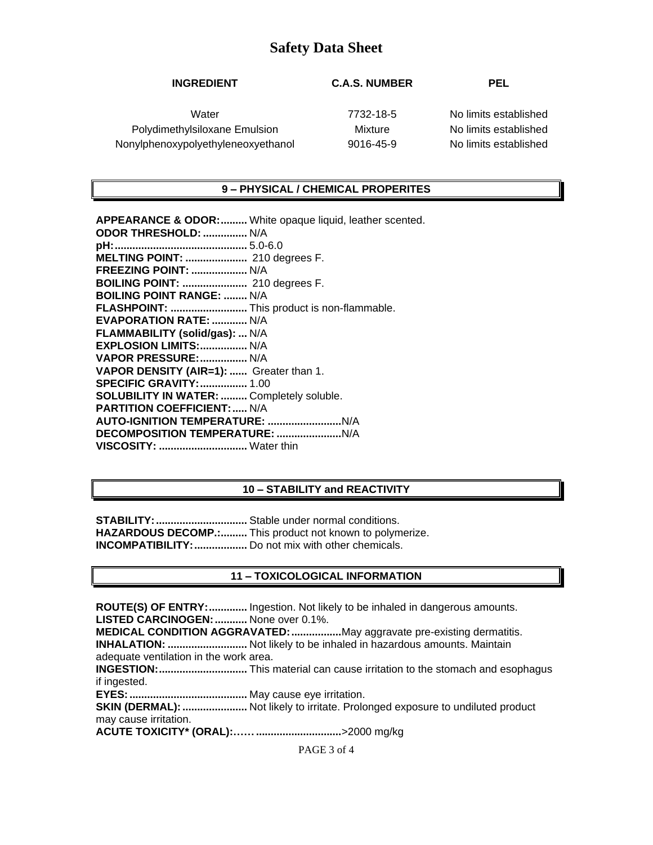# **Safety Data Sheet**

## **INGREDIENT C.A.S. NUMBER PEL**

Water 7732-18-5 No limits established Polydimethylsiloxane Emulsion Mixture No limits established Nonylphenoxypolyethyleneoxyethanol 9016-45-9 No limits established

### **9 – PHYSICAL / CHEMICAL PROPERITES**

**APPEARANCE & ODOR:.........** White opaque liquid, leather scented. **ODOR THRESHOLD: ...............** N/A **pH:.............................................** 5.0-6.0 **MELTING POINT: .....................** 210 degrees F. **FREEZING POINT: ...................** N/A **BOILING POINT: ......................** 210 degrees F. **BOILING POINT RANGE: ........** N/A **FLASHPOINT: ..........................** This product is non-flammable. **EVAPORATION RATE: ............** N/A **FLAMMABILITY (solid/gas): ...** N/A **EXPLOSION LIMITS:................** N/A **VAPOR PRESSURE:................** N/A **VAPOR DENSITY (AIR=1): ......** Greater than 1. **SPECIFIC GRAVITY:................** 1.00 **SOLUBILITY IN WATER: .........** Completely soluble. **PARTITION COEFFICIENT:.....** N/A **AUTO-IGNITION TEMPERATURE: .........................**N/A **DECOMPOSITION TEMPERATURE: ......................**N/A **VISCOSITY: ..............................** Water thin

### **10 – STABILITY and REACTIVITY**

**STABILITY:...............................** Stable under normal conditions. **HAZARDOUS DECOMP.:.........** This product not known to polymerize. **INCOMPATIBILITY:..................** Do not mix with other chemicals.

### **11 – TOXICOLOGICAL INFORMATION**

**ROUTE(S) OF ENTRY:.............** Ingestion. Not likely to be inhaled in dangerous amounts. **LISTED CARCINOGEN:...........** None over 0.1%. **MEDICAL CONDITION AGGRAVATED:.................**May aggravate pre-existing dermatitis. **INHALATION: ...........................** Not likely to be inhaled in hazardous amounts. Maintain adequate ventilation in the work area. **INGESTION:..............................** This material can cause irritation to the stomach and esophagus if ingested. **EYES:........................................** May cause eye irritation. **SKIN (DERMAL): .......................** Not likely to irritate. Prolonged exposure to undiluted product may cause irritation. **ACUTE TOXICITY\* (ORAL):…….............................**>2000 mg/kg

PAGE 3 of 4